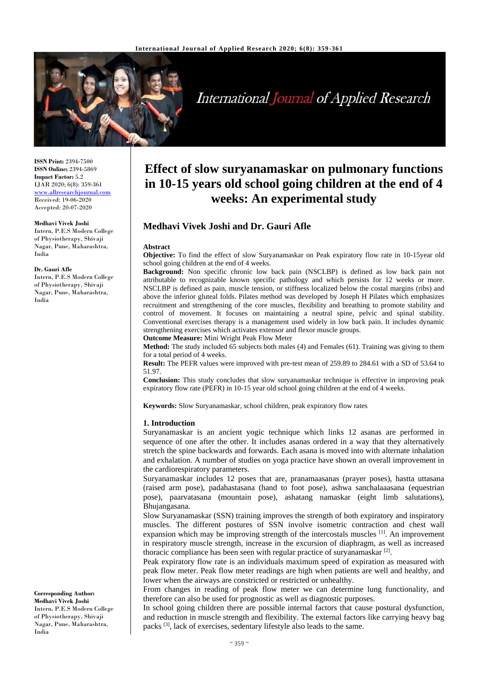

# **International Journal of Applied Research**

**ISSN Print:** 2394-7500 **ISSN Online:** 2394-5869 **Impact Factor:** 5.2 IJAR 2020; 6(8): 359-361 <www.allresearchjournal.com> Received: 19-06-2020 Accepted: 20-07-2020

#### **Medhavi Vivek Joshi**

Intern, P.E.S Modern College of Physiotherapy, Shivaji Nagar, Pune, Maharashtra, India

#### **Dr. Gauri Afle**

Intern, P.E.S Modern College of Physiotherapy, Shivaji Nagar, Pune, Maharashtra, India

**Corresponding Author: Medhavi Vivek Joshi** Intern, P.E.S Modern College of Physiotherapy, Shivaji Nagar, Pune, Maharashtra, India

# **Effect of slow suryanamaskar on pulmonary functions in 10-15 years old school going children at the end of 4 weeks: An experimental study**

# **Medhavi Vivek Joshi and Dr. Gauri Afle**

#### **Abstract**

**Objective:** To find the effect of slow Suryanamaskar on Peak expiratory flow rate in 10-15year old school going children at the end of 4 weeks.

**Background:** Non specific chronic low back pain (NSCLBP) is defined as low back pain not attributable to recognizable known specific pathology and which persists for 12 weeks or more. NSCLBP is defined as pain, muscle tension, or stiffness localized below the costal margins (ribs) and above the inferior gluteal folds. Pilates method was developed by Joseph H Pilates which emphasizes recruitment and strengthening of the core muscles, flexibility and breathing to promote stability and control of movement. It focuses on maintaining a neutral spine, pelvic and spinal stability. Conventional exercises therapy is a management used widely in low back pain. It includes dynamic strengthening exercises which activates extensor and flexor muscle groups.

**Outcome Measure:** Mini Wright Peak Flow Meter

**Method:** The study included 65 subjects both males (4) and Females (61). Training was giving to them for a total period of 4 weeks.

**Result:** The PEFR values were improved with pre-test mean of 259.89 to 284.61 with a SD of 53.64 to 51.97.

**Conclusion:** This study concludes that slow suryanamaskar technique is effective in improving peak expiratory flow rate (PEFR) in 10-15 year old school going children at the end of 4 weeks.

**Keywords:** Slow Suryanamaskar, school children, peak expiratory flow rates

#### **1. Introduction**

Suryanamaskar is an ancient yogic technique which links 12 asanas are performed in sequence of one after the other. It includes asanas ordered in a way that they alternatively stretch the spine backwards and forwards. Each asana is moved into with alternate inhalation and exhalation. A number of studies on yoga practice have shown an overall improvement in the cardiorespiratory parameters.

Suryanamaskar includes 12 poses that are, pranamaasanas (prayer poses), hastta uttasana (raised arm pose), padahastasana (hand to foot pose), ashwa sanchalaaasana (equestrian pose), paarvatasana (mountain pose), ashatang namaskar (eight limb salutations), Bhujangasana.

Slow Suryanamaskar (SSN) training improves the strength of both expiratory and inspiratory muscles. The different postures of SSN involve isometric contraction and chest wall expansion which may be improving strength of the intercostals muscles  $[1]$ . An improvement in respiratory muscle strength, increase in the excursion of diaphragm, as well as increased thoracic compliance has been seen with regular practice of suryanamaskar  $^{[2]}$ .

Peak expiratory flow rate is an individuals maximum speed of expiration as measured with peak flow meter. Peak flow meter readings are high when patients are well and healthy, and lower when the airways are constricted or restricted or unhealthy.

From changes in reading of peak flow meter we can determine lung functionality, and therefore can also be used for prognostic as well as diagnostic purposes.

In school going children there are possible internal factors that cause postural dysfunction, and reduction in muscle strength and flexibility. The external factors like carrying heavy bag packs [3], lack of exercises, sedentary lifestyle also leads to the same.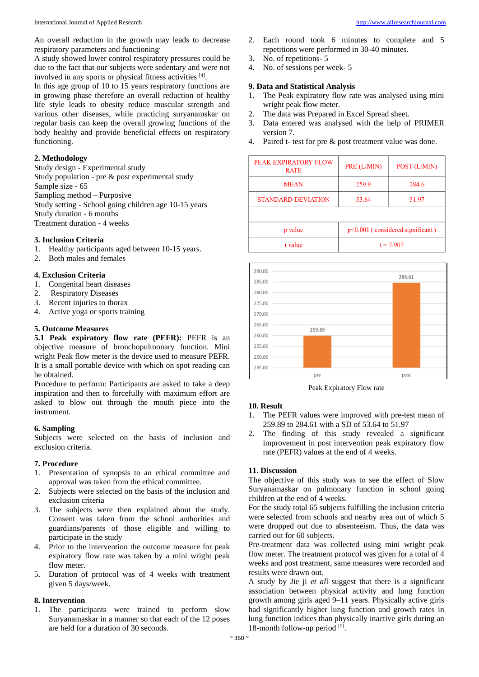An overall reduction in the growth may leads to decrease respiratory parameters and functioning.

A study showed lower control respiratory pressures could be due to the fact that our subjects were sedentary and were not involved in any sports or physical fitness activities [4].

In this age group of 10 to 15 years respiratory functions are in growing phase therefore an overall reduction of healthy life style leads to obesity reduce muscular strength and various other diseases, while practicing suryanamskar on regular basis can keep the overall growing functions of the body healthy and provide beneficial effects on respiratory functioning.

# **2. Methodology**

Study design **-** Experimental study

Study population - pre & post experimental study Sample size - 65 Sampling method – Purposive Study setting - School going children age 10-15 years Study duration - 6 months

Treatment duration - 4 weeks

#### **3. Inclusion Criteria**

- 1. Healthy participants aged between 10-15 years.
- 2. Both males and females

# **4. Exclusion Criteria**

- 1. Congenital heart diseases
- 2. Respiratory Diseases
- 3. Recent injuries to thorax
- 4. Active yoga or sports training

# **5. Outcome Measures**

**5.1 Peak expiratory flow rate (PEFR):** PEFR is an objective measure of bronchopulmonary function. Mini wright Peak flow meter is the device used to measure PEFR. It is a small portable device with which on spot reading can be obtained.

Procedure to perform: Participants are asked to take a deep inspiration and then to forcefully with maximum effort are asked to blow out through the mouth piece into the instrument.

# **6. Sampling**

Subjects were selected on the basis of inclusion and exclusion criteria.

# **7. Procedure**

- 1. Presentation of synopsis to an ethical committee and approval was taken from the ethical committee.
- 2. Subjects were selected on the basis of the inclusion and exclusion criteria
- 3. The subjects were then explained about the study. Consent was taken from the school authorities and guardians/parents of those eligible and willing to participate in the study
- 4. Prior to the intervention the outcome measure for peak expiratory flow rate was taken by a mini wright peak flow meter.
- 5. Duration of protocol was of 4 weeks with treatment given 5 days/week.

# **8. Intervention**

1. The participants were trained to perform slow Suryanamaskar in a manner so that each of the 12 poses are held for a duration of 30 seconds.

- 2. Each round took 6 minutes to complete and 5 repetitions were performed in 30-40 minutes.
- 3. No. of repetitions- 5
- 4. No. of sessions per week- 5

#### **9. Data and Statistical Analysis**

- 1. The Peak expiratory flow rate was analysed using mini wright peak flow meter.
- 2. The data was Prepared in Excel Spread sheet.
- 3. Data entered was analysed with the help of PRIMER version 7.
- 4. Paired t- test for pre & post treatment value was done.

| PEAK EXPIRATORY FLOW<br><b>RATE</b> | PRE (L/MIN)                        | POST (L/MIN) |
|-------------------------------------|------------------------------------|--------------|
| <b>MEAN</b>                         | 259.9                              | 284.6        |
| <b>STANDARD DEVIATION</b>           | 53.64                              | 51.97        |
|                                     |                                    |              |
| p value                             | $p<0.001$ (considered significant) |              |
| t value                             | $t = 7.907$                        |              |



Peak Expiratory Flow rate

#### **10. Result**

- 1. The PEFR values were improved with pre-test mean of 259.89 to 284.61 with a SD of 53.64 to 51.97
- 2. The finding of this study revealed a significant improvement in post intervention peak expiratory flow rate (PEFR) values at the end of 4 weeks.

# **11. Discussion**

The objective of this study was to see the effect of Slow Suryanamaskar on pulmonary function in school going children at the end of 4 weeks.

For the study total 65 subjects fulfilling the inclusion criteria were selected from schools and nearby area out of which 5 were dropped out due to absenteeism. Thus, the data was carried out for 60 subjects.

Pre-treatment data was collected using mini wright peak flow meter. The treatment protocol was given for a total of 4 weeks and post treatment, same measures were recorded and results were drawn out.

A study by Jie ji *et al*l suggest that there is a significant association between physical activity and lung function growth among girls aged 9–11 years. Physically active girls had significantly higher lung function and growth rates in lung function indices than physically inactive girls during an 18-month follow-up period [5].